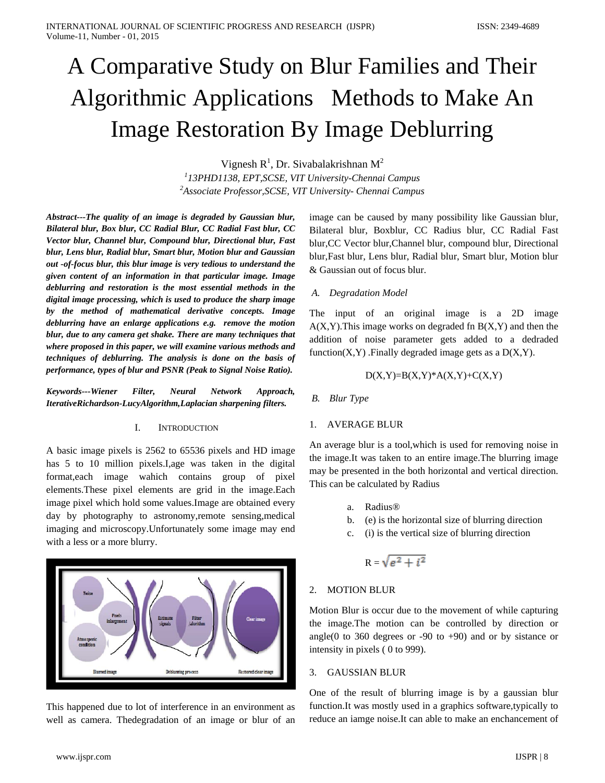# A Comparative Study on Blur Families and Their Algorithmic Applications Methods to Make An Image Restoration By Image Deblurring

Vignesh  $R^1$ , Dr. Sivabalakrishnan M<sup>2</sup> *1 13PHD1138, EPT,SCSE, VIT University-Chennai Campus 2 Associate Professor,SCSE, VIT University- Chennai Campus*

*Abstract---The quality of an image is degraded by Gaussian blur, Bilateral blur, Box blur, CC Radial Blur, CC Radial Fast blur, CC Vector blur, Channel blur, Compound blur, Directional blur, Fast blur, Lens blur, Radial blur, Smart blur, Motion blur and Gaussian out -of-focus blur, this blur image is very tedious to understand the given content of an information in that particular image. Image deblurring and restoration is the most essential methods in the digital image processing, which is used to produce the sharp image by the method of mathematical derivative concepts. Image deblurring have an enlarge applications e.g. remove the motion blur, due to any camera get shake. There are many techniques that where proposed in this paper, we will examine various methods and techniques of deblurring. The analysis is done on the basis of performance, types of blur and PSNR (Peak to Signal Noise Ratio).* 

*Keywords---Wiener Filter, Neural Network Approach, IterativeRichardson-LucyAlgorithm,Laplacian sharpening filters.*

#### I. INTRODUCTION

A basic image pixels is 2562 to 65536 pixels and HD image has 5 to 10 million pixels.I,age was taken in the digital format,each image wahich contains group of pixel elements.These pixel elements are grid in the image.Each image pixel which hold some values.Image are obtained every day by photography to astronomy,remote sensing,medical imaging and microscopy.Unfortunately some image may end with a less or a more blurry.



This happened due to lot of interference in an environment as well as camera. Thedegradation of an image or blur of an image can be caused by many possibility like Gaussian blur, Bilateral blur, Boxblur, CC Radius blur, CC Radial Fast blur,CC Vector blur,Channel blur, compound blur, Directional blur,Fast blur, Lens blur, Radial blur, Smart blur, Motion blur & Gaussian out of focus blur.

#### *A. Degradation Model*

The input of an original image is a 2D image  $A(X, Y)$ . This image works on degraded fn  $B(X, Y)$  and then the addition of noise parameter gets added to a dedraded function $(X, Y)$ . Finally degraded image gets as a  $D(X, Y)$ .

$$
D(X,Y)=B(X,Y)^*A(X,Y)+C(X,Y)
$$

*B. Blur Type*

#### 1. AVERAGE BLUR

An average blur is a tool,which is used for removing noise in the image.It was taken to an entire image.The blurring image may be presented in the both horizontal and vertical direction. This can be calculated by Radius

- a. Radius®
- b. (e) is the horizontal size of blurring direction
- c. (i) is the vertical size of blurring direction

$$
R=\sqrt{e^2+i^2}
$$

# 2. MOTION BLUR

Motion Blur is occur due to the movement of while capturing the image.The motion can be controlled by direction or angle(0 to 360 degrees or  $-90$  to  $+90$ ) and or by sistance or intensity in pixels ( 0 to 999).

## 3. GAUSSIAN BLUR

One of the result of blurring image is by a gaussian blur function.It was mostly used in a graphics software,typically to reduce an iamge noise.It can able to make an enchancement of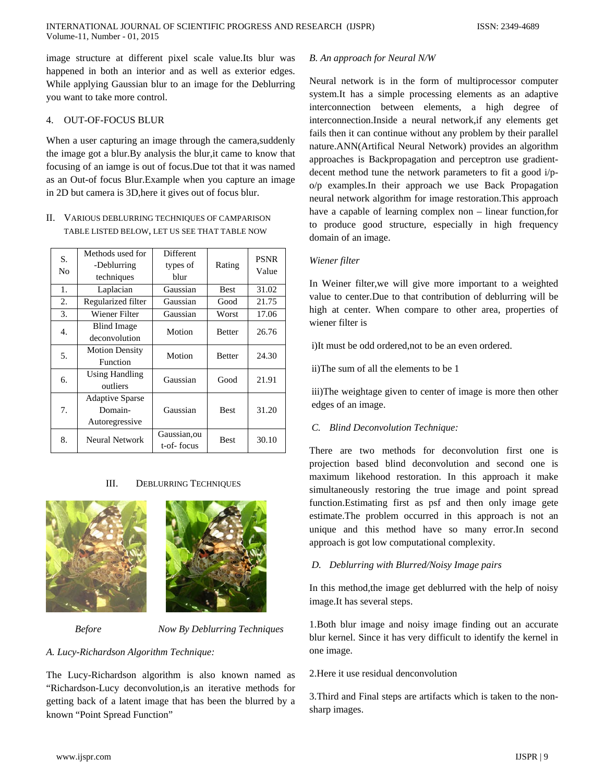image structure at different pixel scale value.Its blur was happened in both an interior and as well as exterior edges. While applying Gaussian blur to an image for the Deblurring you want to take more control.

#### 4. OUT-OF-FOCUS BLUR

When a user capturing an image through the camera,suddenly the image got a blur.By analysis the blur,it came to know that focusing of an iamge is out of focus.Due tot that it was named as an Out-of focus Blur.Example when you capture an image in 2D but camera is 3D,here it gives out of focus blur.

# II. VARIOUS DEBLURRING TECHNIQUES OF CAMPARISON TABLE LISTED BELOW, LET US SEE THAT TABLE NOW

| S.<br>No | Methods used for<br>-Deblurring<br>techniques       | Different<br>types of<br>blur | Rating        | <b>PSNR</b><br>Value |
|----------|-----------------------------------------------------|-------------------------------|---------------|----------------------|
| 1.       | Laplacian                                           | Gaussian                      | <b>Best</b>   | 31.02                |
| 2.       | Regularized filter                                  | Gaussian                      | Good          | 21.75                |
| 3.       | Wiener Filter                                       | Gaussian                      | Worst         | 17.06                |
| 4.       | Blind Image<br>deconvolution                        | Motion                        | <b>Better</b> | 26.76                |
| 5.       | <b>Motion Density</b><br>Function                   | Motion                        | <b>Better</b> | 24.30                |
| б.       | <b>Using Handling</b><br>outliers                   | Gaussian                      | Good          | 21.91                |
| 7.       | <b>Adaptive Sparse</b><br>Domain-<br>Autoregressive | Gaussian                      | <b>Best</b>   | 31.20                |
| 8.       | Neural Network                                      | Gaussian,ou<br>t-of-focus     | <b>Best</b>   | 30.10                |

# III. DEBLURRING TECHNIQUES





 *Before Now By Deblurring Techniques*

# *A. Lucy-Richardson Algorithm Technique:*

The Lucy-Richardson algorithm is also known named as "Richardson-Lucy deconvolution,is an iterative methods for getting back of a latent image that has been the blurred by a known "Point Spread Function"

#### *B. An approach for Neural N/W*

Neural network is in the form of multiprocessor computer system.It has a simple processing elements as an adaptive interconnection between elements, a high degree of interconnection.Inside a neural network,if any elements get fails then it can continue without any problem by their parallel nature.ANN(Artifical Neural Network) provides an algorithm approaches is Backpropagation and perceptron use gradientdecent method tune the network parameters to fit a good i/po/p examples.In their approach we use Back Propagation neural network algorithm for image restoration.This approach have a capable of learning complex non – linear function,for to produce good structure, especially in high frequency domain of an image.

# *Wiener filter*

In Weiner filter,we will give more important to a weighted value to center.Due to that contribution of deblurring will be high at center. When compare to other area, properties of wiener filter is

i)It must be odd ordered,not to be an even ordered.

ii)The sum of all the elements to be 1

iii)The weightage given to center of image is more then other edges of an image.

# *C. Blind Deconvolution Technique:*

There are two methods for deconvolution first one is projection based blind deconvolution and second one is maximum likehood restoration. In this approach it make simultaneously restoring the true image and point spread function.Estimating first as psf and then only image gete estimate.The problem occurred in this approach is not an unique and this method have so many error.In second approach is got low computational complexity.

# *D. Deblurring with Blurred/Noisy Image pairs*

In this method,the image get deblurred with the help of noisy image.It has several steps.

1.Both blur image and noisy image finding out an accurate blur kernel. Since it has very difficult to identify the kernel in one image.

2.Here it use residual denconvolution

3.Third and Final steps are artifacts which is taken to the nonsharp images.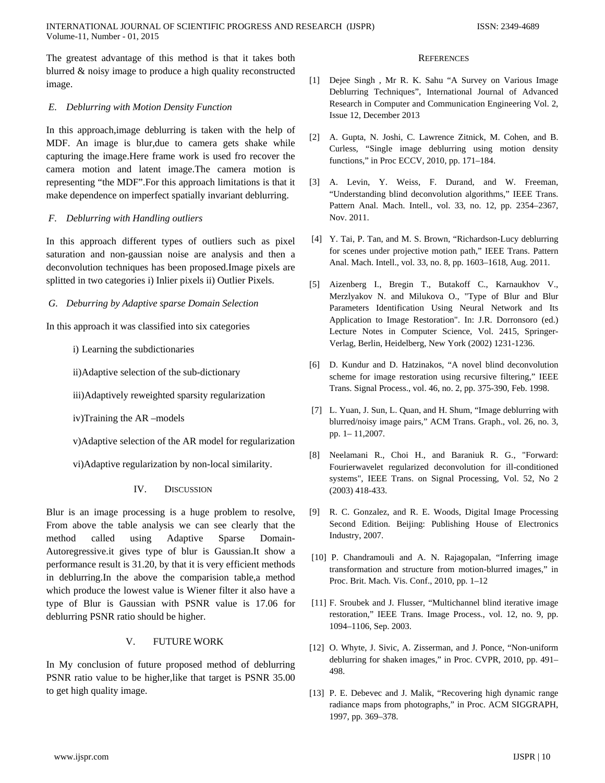The greatest advantage of this method is that it takes both blurred & noisy image to produce a high quality reconstructed image.

## *E. Deblurring with Motion Density Function*

In this approach,image deblurring is taken with the help of MDF. An image is blur,due to camera gets shake while capturing the image.Here frame work is used fro recover the camera motion and latent image.The camera motion is representing "the MDF".For this approach limitations is that it make dependence on imperfect spatially invariant deblurring.

## *F. Deblurring with Handling outliers*

In this approach different types of outliers such as pixel saturation and non-gaussian noise are analysis and then a deconvolution techniques has been proposed.Image pixels are splitted in two categories i) Inlier pixels ii) Outlier Pixels.

## *G. Deburring by Adaptive sparse Domain Selection*

In this approach it was classified into six categories

- i) Learning the subdictionaries
- ii)Adaptive selection of the sub-dictionary
- iii)Adaptively reweighted sparsity regularization
- iv)Training the AR –models
- v)Adaptive selection of the AR model for regularization
- vi)Adaptive regularization by non-local similarity.
	- IV. DISCUSSION

Blur is an image processing is a huge problem to resolve, From above the table analysis we can see clearly that the method called using Adaptive Sparse Domain-Autoregressive.it gives type of blur is Gaussian.It show a performance result is 31.20, by that it is very efficient methods in deblurring.In the above the comparision table,a method which produce the lowest value is Wiener filter it also have a type of Blur is Gaussian with PSNR value is 17.06 for deblurring PSNR ratio should be higher.

# V. FUTURE WORK

In My conclusion of future proposed method of deblurring PSNR ratio value to be higher,like that target is PSNR 35.00 to get high quality image.

#### **REFERENCES**

- [1] Dejee Singh , Mr R. K. Sahu "A Survey on Various Image Deblurring Techniques", International Journal of Advanced Research in Computer and Communication Engineering Vol. 2, Issue 12, December 2013
- [2] A. Gupta, N. Joshi, C. Lawrence Zitnick, M. Cohen, and B. Curless, "Single image deblurring using motion density functions," in Proc ECCV, 2010, pp. 171–184.
- [3] A. Levin, Y. Weiss, F. Durand, and W. Freeman, "Understanding blind deconvolution algorithms," IEEE Trans. Pattern Anal. Mach. Intell., vol. 33, no. 12, pp. 2354–2367, Nov. 2011.
- [4] Y. Tai, P. Tan, and M. S. Brown, "Richardson-Lucy deblurring for scenes under projective motion path," IEEE Trans. Pattern Anal. Mach. Intell., vol. 33, no. 8, pp. 1603–1618, Aug. 2011.
- [5] Aizenberg I., Bregin T., Butakoff C., Karnaukhov V., Merzlyakov N. and Milukova O., "Type of Blur and Blur Parameters Identification Using Neural Network and Its Application to Image Restoration". In: J.R. Dorronsoro (ed.) Lecture Notes in Computer Science, Vol. 2415, Springer-Verlag, Berlin, Heidelberg, New York (2002) 1231-1236.
- [6] D. Kundur and D. Hatzinakos, "A novel blind deconvolution scheme for image restoration using recursive filtering," IEEE Trans. Signal Process., vol. 46, no. 2, pp. 375-390, Feb. 1998.
- [7] L. Yuan, J. Sun, L. Quan, and H. Shum, "Image deblurring with blurred/noisy image pairs," ACM Trans. Graph., vol. 26, no. 3, pp. 1– 11,2007.
- [8] Neelamani R., Choi H., and Baraniuk R. G., "Forward: Fourierwavelet regularized deconvolution for ill-conditioned systems", IEEE Trans. on Signal Processing, Vol. 52, No 2 (2003) 418-433.
- [9] R. C. Gonzalez, and R. E. Woods, Digital Image Processing Second Edition. Beijing: Publishing House of Electronics Industry, 2007.
- [10] P. Chandramouli and A. N. Rajagopalan, "Inferring image transformation and structure from motion-blurred images," in Proc. Brit. Mach. Vis. Conf., 2010, pp. 1–12
- [11] F. Sroubek and J. Flusser, "Multichannel blind iterative image restoration," IEEE Trans. Image Process., vol. 12, no. 9, pp. 1094–1106, Sep. 2003.
- [12] O. Whyte, J. Sivic, A. Zisserman, and J. Ponce, "Non-uniform deblurring for shaken images," in Proc. CVPR, 2010, pp. 491– 498.
- [13] P. E. Debevec and J. Malik, "Recovering high dynamic range radiance maps from photographs," in Proc. ACM SIGGRAPH, 1997, pp. 369–378.